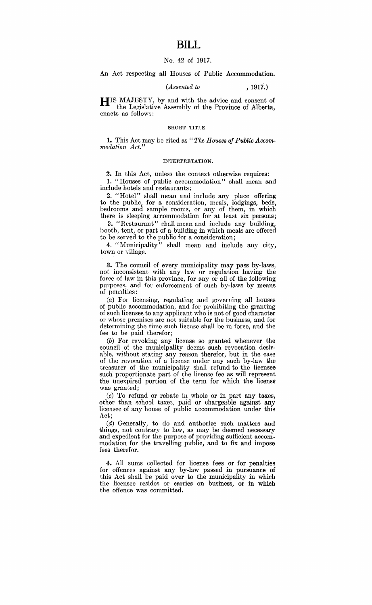### No. 42 of 1917.

An Act respecting all Houses of Public Accommodation.

## *(Assented to* , 1917.)

HIS MAJESTY, by and with the advice and consent of the Legislative Assembly of the Province of Alberta, enacts as follows:

#### SHORT TITLE.

**1.** This Act may be cited as " *The Houses of Public Accommodation Act."* 

#### INTERPRETATION.

2. In this Act, unless the context otherwise requires: 1. "Houses of public accommodation" shall mean and include hotels and restaurants;

2. "Hotel" shall mean and include any place offering to the public, for a consideration, meals, lodgings, beds, bedrooms and sample rooms, or any of them, in which there is sleeping accommodation for at least six persons;

3. "Restaurant" shall mean and include any building, booth, tent, or part of a building in which meals are offered to be served to the public for a consideration;

4. "Municipality" shall mean and include any city, town or village.

3. The council of every municipality may pass by-laws, not inconsistent with any law or regulation having the force of law in this province, for any or all of the following purposes, and for enforcement of such by-laws by means of penalties:

(a) For licensing, regulating and governing all houses of public accommodation, and for prohibiting the granting of such licenses to any applicant who is not of good character or whose premises are not suitable for the business, and for determining the time such license shall be in force, and the fee to be paid therefor;

(b) For revoking any license so granted whenever the council of the municipality deems such revocation desirable, without stating any reason therefor, but in the case of the revocation of a license under any such by-law the treasurer of the municipality shall refund to the licensee such proportionate part of the license fee as will represent the unexpired portion of the term for which the license was granted;

(c) To refund or rebate in whole or in part any taxes, other than school taxes, paid or chargeable against any licensee of any house of public accommodation under this Act;

(d) Generally, to do and authorize such matters and things, not contrary to law, as may be deemed necessary and expedient for the purpose of providing sufficient accommodation for the travelling public, and to fix and impose fees therefor.

4. All sums collected for license fees or for penalties for offences against any by-law passed in pursuance of this Act shall be paid over to the municipality in which the licensee resides or carries on business, or in which the offence was committed.